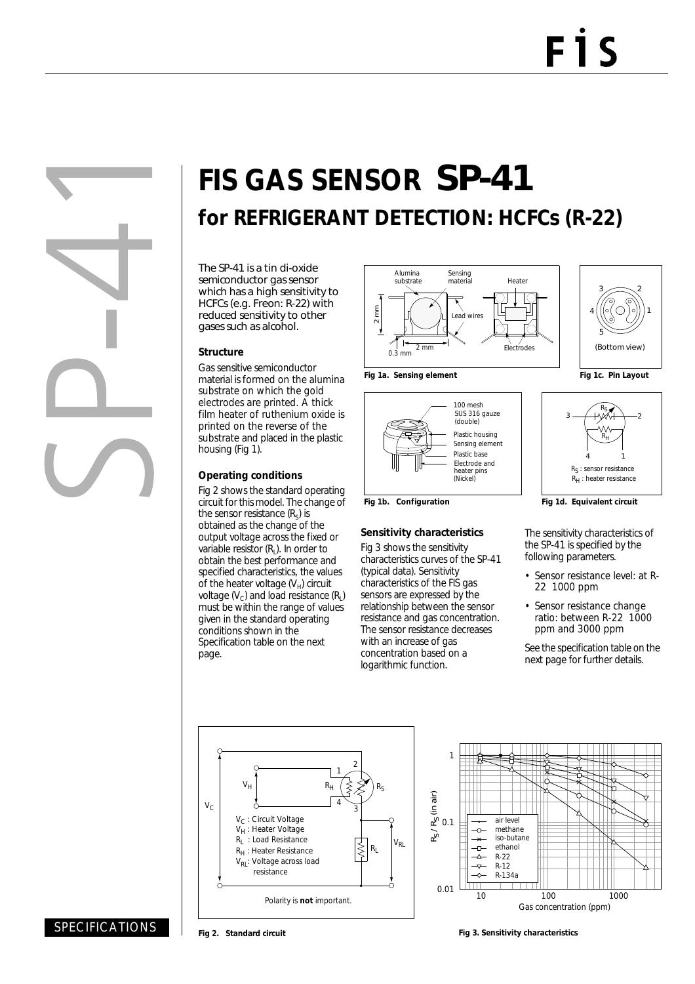# **FIS GAS SENSOR** SP-41 **for REFRIGERANT DETECTION: HCFCs (R-22)**

The SP-41 is a tin di-oxide semiconductor gas sensor which has a high sensitivity to HCFCs (e.g. Freon: R-22) with reduced sensitivity to other gases such as alcohol.

#### **Structure**

Gas sensitive semiconductor material is formed on the alumina substrate on which the gold electrodes are printed. A thick film heater of ruthenium oxide is printed on the reverse of the substrate and placed in the plastic housing (Fig 1).

#### **Operating conditions**

Fig 2 shows the standard operating circuit for this model. The change of the sensor resistance  $(R<sub>s</sub>)$  is obtained as the change of the output voltage across the fixed or variable resistor  $(R<sub>1</sub>)$ . In order to obtain the best performance and specified characteristics, the values of the heater voltage  $(V_H)$  circuit voltage  $(V_c)$  and load resistance  $(R<sub>i</sub>)$ must be within the range of values given in the standard operating conditions shown in the Specification table on the next page.



100 mesh SUS 316 gauze

(double)

Electrode and (Nickel)

heater pins

**Sensitivity characteristics** Fig 3 shows the sensitivity characteristics curves of the SP-41 (typical data). Sensitivity characteristics of the FIS gas sensors are expressed by the relationship between the sensor resistance and gas concentration. The sensor resistance decreases with an increase of gas concentration based on a logarithmic function.

Plastic housing

Sensing element Plastic base





Fig 1b. Configuration **Fig 1d. Equivalent circuit** 

The sensitivity characteristics of the SP-41 is specified by the following parameters.

- Sensor resistance level: at R-22 1000 ppm
- Sensor resistance change ratio: between R-22 1000 ppm and 3000 ppm

See the specification table on the next page for further details.





### SPECIFICATIONS

**Fig 3. Sensitivity characteristics**